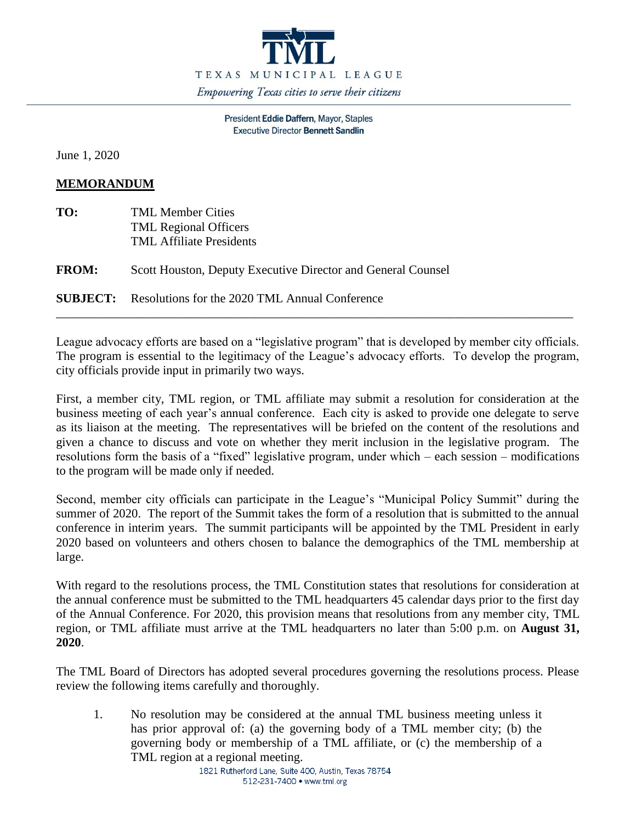

President Eddie Daffern, Mayor, Staples **Executive Director Bennett Sandlin** 

June 1, 2020

## **MEMORANDUM**

| TO:          | <b>TML Member Cities</b><br><b>TML Regional Officers</b><br><b>TML Affiliate Presidents</b> |
|--------------|---------------------------------------------------------------------------------------------|
| <b>FROM:</b> | Scott Houston, Deputy Executive Director and General Counsel                                |
|              | <b>SUBJECT:</b> Resolutions for the 2020 TML Annual Conference                              |

League advocacy efforts are based on a "legislative program" that is developed by member city officials. The program is essential to the legitimacy of the League's advocacy efforts. To develop the program, city officials provide input in primarily two ways.

First, a member city, TML region, or TML affiliate may submit a resolution for consideration at the business meeting of each year's annual conference. Each city is asked to provide one delegate to serve as its liaison at the meeting. The representatives will be briefed on the content of the resolutions and given a chance to discuss and vote on whether they merit inclusion in the legislative program. The resolutions form the basis of a "fixed" legislative program, under which – each session – modifications to the program will be made only if needed.

Second, member city officials can participate in the League's "Municipal Policy Summit" during the summer of 2020. The report of the Summit takes the form of a resolution that is submitted to the annual conference in interim years. The summit participants will be appointed by the TML President in early 2020 based on volunteers and others chosen to balance the demographics of the TML membership at large.

With regard to the resolutions process, the TML Constitution states that resolutions for consideration at the annual conference must be submitted to the TML headquarters 45 calendar days prior to the first day of the Annual Conference. For 2020, this provision means that resolutions from any member city, TML region, or TML affiliate must arrive at the TML headquarters no later than 5:00 p.m. on **August 31, 2020**.

The TML Board of Directors has adopted several procedures governing the resolutions process. Please review the following items carefully and thoroughly.

1. No resolution may be considered at the annual TML business meeting unless it has prior approval of: (a) the governing body of a TML member city; (b) the governing body or membership of a TML affiliate, or (c) the membership of a TML region at a regional meeting.